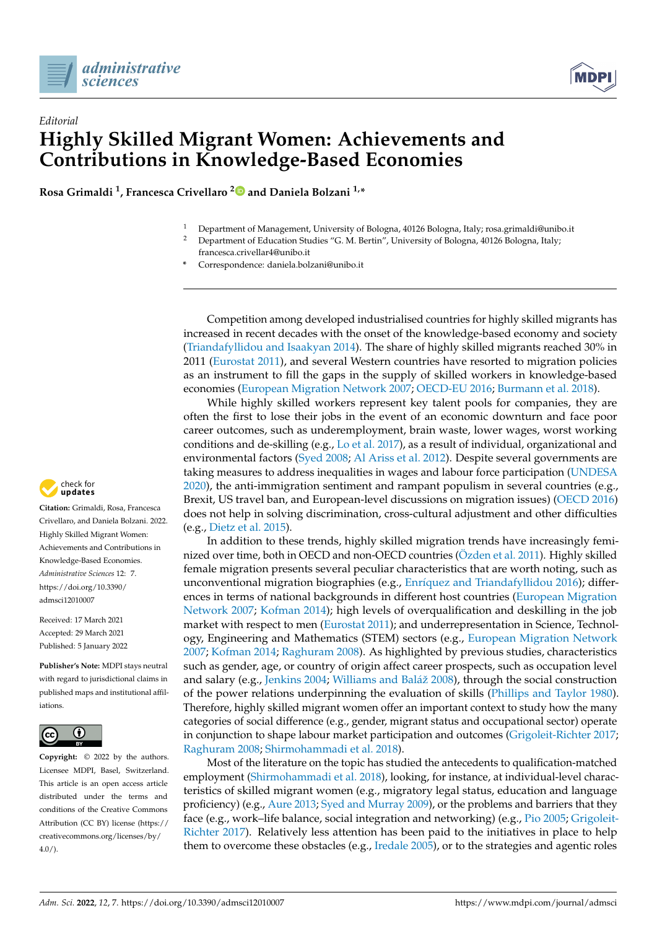



## *Editorial* **Highly Skilled Migrant Women: Achievements and Contributions in Knowledge-Based Economies**

**Rosa Grimaldi <sup>1</sup> , Francesca Crivellaro [2](https://orcid.org/0000-0002-7637-8865) and Daniela Bolzani 1,\***

- <sup>1</sup> Department of Management, University of Bologna, 40126 Bologna, Italy; rosa.grimaldi@unibo.it
- <sup>2</sup> Department of Education Studies "G. M. Bertin", University of Bologna, 40126 Bologna, Italy;
- francesca.crivellar4@unibo.it
- **\*** Correspondence: daniela.bolzani@unibo.it

Competition among developed industrialised countries for highly skilled migrants has increased in recent decades with the onset of the knowledge-based economy and society [\(Triandafyllidou and Isaakyan](#page-4-0) [2014\)](#page-4-0). The share of highly skilled migrants reached 30% in 2011 [\(Eurostat](#page-3-0) [2011\)](#page-3-0), and several Western countries have resorted to migration policies as an instrument to fill the gaps in the supply of skilled workers in knowledge-based economies [\(European Migration Network](#page-3-1) [2007;](#page-3-1) [OECD-EU](#page-4-1) [2016;](#page-4-1) [Burmann et al.](#page-3-2) [2018\)](#page-3-2).

While highly skilled workers represent key talent pools for companies, they are often the first to lose their jobs in the event of an economic downturn and face poor career outcomes, such as underemployment, brain waste, lower wages, worst working conditions and de-skilling (e.g., [Lo et al.](#page-3-3) [2017\)](#page-3-3), as a result of individual, organizational and environmental factors [\(Syed](#page-4-2) [2008;](#page-4-2) [Al Ariss et al.](#page-3-4) [2012\)](#page-3-4). Despite several governments are taking measures to address inequalities in wages and labour force participation [\(UNDESA](#page-4-3) [2020\)](#page-4-3), the anti-immigration sentiment and rampant populism in several countries (e.g., Brexit, US travel ban, and European-level discussions on migration issues) [\(OECD](#page-4-4) [2016\)](#page-4-4) does not help in solving discrimination, cross-cultural adjustment and other difficulties (e.g., [Dietz et al.](#page-3-5) [2015\)](#page-3-5).

In addition to these trends, highly skilled migration trends have increasingly feminized over time, both in OECD and non-OECD countries [\(Özden et al.](#page-4-5) [2011\)](#page-4-5). Highly skilled female migration presents several peculiar characteristics that are worth noting, such as unconventional migration biographies (e.g., Enrí[quez and Triandafyllidou](#page-3-6) [2016\)](#page-3-6); differences in terms of national backgrounds in different host countries [\(European Migration](#page-3-1) [Network](#page-3-1) [2007;](#page-3-1) [Kofman](#page-3-7) [2014\)](#page-3-7); high levels of overqualification and deskilling in the job market with respect to men [\(Eurostat](#page-3-0) [2011\)](#page-3-0); and underrepresentation in Science, Technology, Engineering and Mathematics (STEM) sectors (e.g., [European Migration Network](#page-3-1) [2007;](#page-3-1) [Kofman](#page-3-7) [2014;](#page-3-7) [Raghuram](#page-4-6) [2008\)](#page-4-6). As highlighted by previous studies, characteristics such as gender, age, or country of origin affect career prospects, such as occupation level and salary (e.g., [Jenkins](#page-3-8) [2004;](#page-3-8) [Williams and Bal](#page-4-7)áž [2008\)](#page-4-7), through the social construction of the power relations underpinning the evaluation of skills [\(Phillips and Taylor](#page-4-8) [1980\)](#page-4-8). Therefore, highly skilled migrant women offer an important context to study how the many categories of social difference (e.g., gender, migrant status and occupational sector) operate in conjunction to shape labour market participation and outcomes [\(Grigoleit-Richter](#page-3-9) [2017;](#page-3-9) [Raghuram](#page-4-6) [2008;](#page-4-6) [Shirmohammadi et al.](#page-4-9) [2018\)](#page-4-9).

Most of the literature on the topic has studied the antecedents to qualification-matched employment [\(Shirmohammadi et al.](#page-4-9) [2018\)](#page-4-9), looking, for instance, at individual-level characteristics of skilled migrant women (e.g., migratory legal status, education and language proficiency) (e.g., [Aure](#page-3-10) [2013;](#page-3-10) [Syed and Murray](#page-4-10) [2009\)](#page-4-10), or the problems and barriers that they face (e.g., work–life balance, social integration and networking) (e.g., [Pio](#page-4-11) [2005;](#page-4-11) [Grigoleit-](#page-3-9)[Richter](#page-3-9) [2017\)](#page-3-9). Relatively less attention has been paid to the initiatives in place to help them to overcome these obstacles (e.g., [Iredale](#page-3-11) [2005\)](#page-3-11), or to the strategies and agentic roles



**Citation:** Grimaldi, Rosa, Francesca Crivellaro, and Daniela Bolzani. 2022. Highly Skilled Migrant Women: Achievements and Contributions in Knowledge-Based Economies. *Administrative Sciences* 12: 7. [https://doi.org/10.3390/](https://doi.org/10.3390/admsci12010007) [admsci12010007](https://doi.org/10.3390/admsci12010007)

Received: 17 March 2021 Accepted: 29 March 2021 Published: 5 January 2022

**Publisher's Note:** MDPI stays neutral with regard to jurisdictional claims in published maps and institutional affiliations.



**Copyright:** © 2022 by the authors. Licensee MDPI, Basel, Switzerland. This article is an open access article distributed under the terms and conditions of the Creative Commons Attribution (CC BY) license [\(https://](https://creativecommons.org/licenses/by/4.0/) [creativecommons.org/licenses/by/](https://creativecommons.org/licenses/by/4.0/)  $4.0/$ ).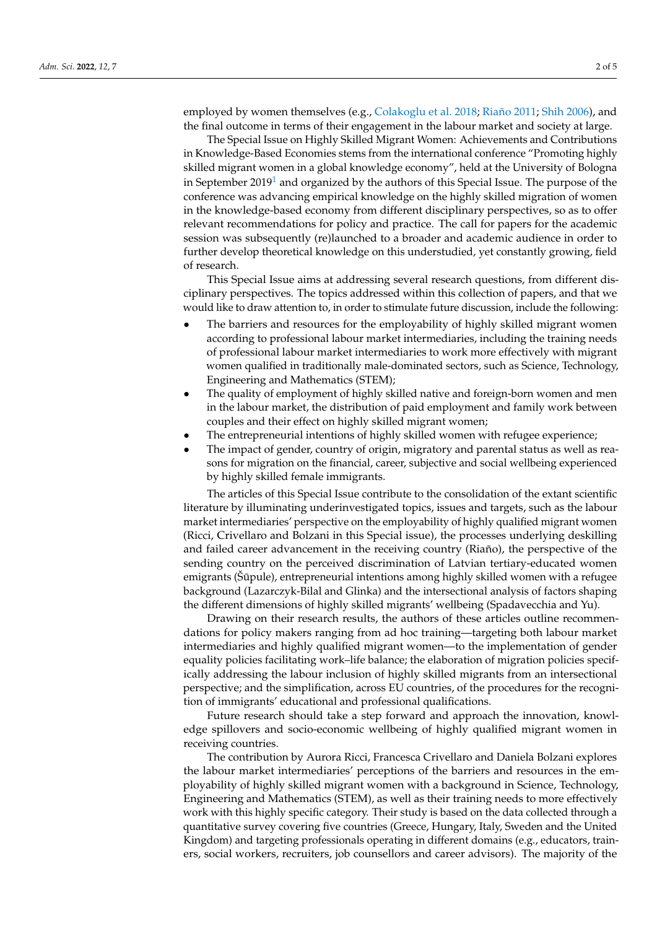employed by women themselves (e.g., [Colakoglu et al.](#page-3-12) [2018;](#page-3-12) [Riaño](#page-4-12) [2011;](#page-4-12) [Shih](#page-4-13) [2006\)](#page-4-13), and the final outcome in terms of their engagement in the labour market and society at large.

<span id="page-1-0"></span>The Special Issue on Highly Skilled Migrant Women: Achievements and Contributions in Knowledge-Based Economies stems from the international conference "Promoting highly skilled migrant women in a global knowledge economy", held at the University of Bologna in September  $2019<sup>1</sup>$  $2019<sup>1</sup>$  $2019<sup>1</sup>$  and organized by the authors of this Special Issue. The purpose of the conference was advancing empirical knowledge on the highly skilled migration of women in the knowledge-based economy from different disciplinary perspectives, so as to offer relevant recommendations for policy and practice. The call for papers for the academic session was subsequently (re)launched to a broader and academic audience in order to further develop theoretical knowledge on this understudied, yet constantly growing, field of research.

This Special Issue aims at addressing several research questions, from different disciplinary perspectives. The topics addressed within this collection of papers, and that we would like to draw attention to, in order to stimulate future discussion, include the following:

- The barriers and resources for the employability of highly skilled migrant women according to professional labour market intermediaries, including the training needs of professional labour market intermediaries to work more effectively with migrant women qualified in traditionally male-dominated sectors, such as Science, Technology, Engineering and Mathematics (STEM);
- The quality of employment of highly skilled native and foreign-born women and men in the labour market, the distribution of paid employment and family work between couples and their effect on highly skilled migrant women;
- The entrepreneurial intentions of highly skilled women with refugee experience;
- The impact of gender, country of origin, migratory and parental status as well as reasons for migration on the financial, career, subjective and social wellbeing experienced by highly skilled female immigrants.

The articles of this Special Issue contribute to the consolidation of the extant scientific literature by illuminating underinvestigated topics, issues and targets, such as the labour market intermediaries' perspective on the employability of highly qualified migrant women (Ricci, Crivellaro and Bolzani in this Special issue), the processes underlying deskilling and failed career advancement in the receiving country (Riaño), the perspective of the sending country on the perceived discrimination of Latvian tertiary-educated women emigrants (Sūpule), entrepreneurial intentions among highly skilled women with a refugee background (Lazarczyk-Bilal and Glinka) and the intersectional analysis of factors shaping the different dimensions of highly skilled migrants' wellbeing (Spadavecchia and Yu).

Drawing on their research results, the authors of these articles outline recommendations for policy makers ranging from ad hoc training—targeting both labour market intermediaries and highly qualified migrant women—to the implementation of gender equality policies facilitating work–life balance; the elaboration of migration policies specifically addressing the labour inclusion of highly skilled migrants from an intersectional perspective; and the simplification, across EU countries, of the procedures for the recognition of immigrants' educational and professional qualifications.

Future research should take a step forward and approach the innovation, knowledge spillovers and socio-economic wellbeing of highly qualified migrant women in receiving countries.

The contribution by Aurora Ricci, Francesca Crivellaro and Daniela Bolzani explores the labour market intermediaries' perceptions of the barriers and resources in the employability of highly skilled migrant women with a background in Science, Technology, Engineering and Mathematics (STEM), as well as their training needs to more effectively work with this highly specific category. Their study is based on the data collected through a quantitative survey covering five countries (Greece, Hungary, Italy, Sweden and the United Kingdom) and targeting professionals operating in different domains (e.g., educators, trainers, social workers, recruiters, job counsellors and career advisors). The majority of the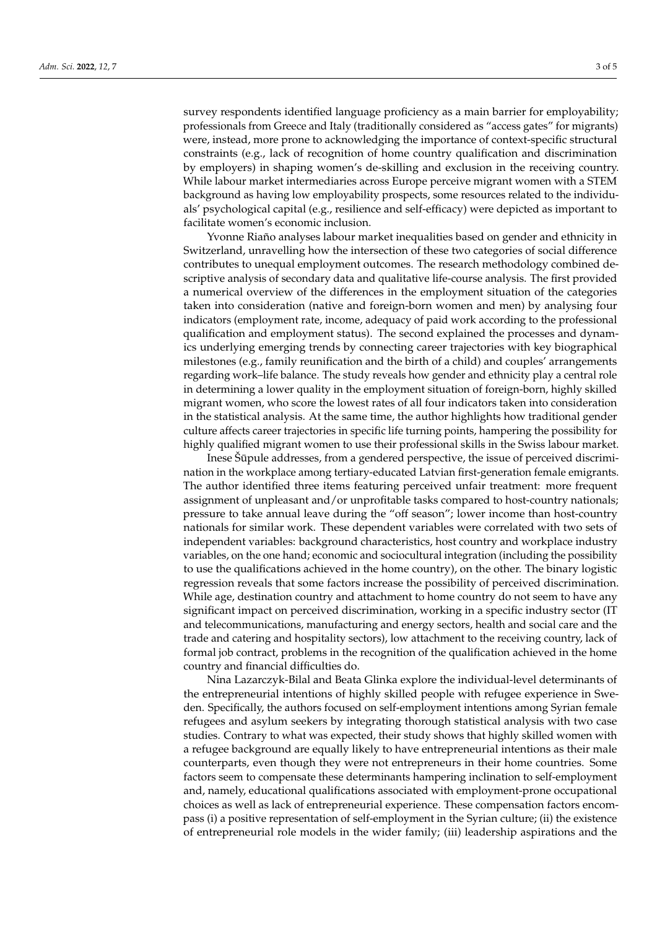survey respondents identified language proficiency as a main barrier for employability; professionals from Greece and Italy (traditionally considered as "access gates" for migrants) were, instead, more prone to acknowledging the importance of context-specific structural constraints (e.g., lack of recognition of home country qualification and discrimination by employers) in shaping women's de-skilling and exclusion in the receiving country. While labour market intermediaries across Europe perceive migrant women with a STEM background as having low employability prospects, some resources related to the individuals' psychological capital (e.g., resilience and self-efficacy) were depicted as important to facilitate women's economic inclusion.

Yvonne Riaño analyses labour market inequalities based on gender and ethnicity in Switzerland, unravelling how the intersection of these two categories of social difference contributes to unequal employment outcomes. The research methodology combined descriptive analysis of secondary data and qualitative life-course analysis. The first provided a numerical overview of the differences in the employment situation of the categories taken into consideration (native and foreign-born women and men) by analysing four indicators (employment rate, income, adequacy of paid work according to the professional qualification and employment status). The second explained the processes and dynamics underlying emerging trends by connecting career trajectories with key biographical milestones (e.g., family reunification and the birth of a child) and couples' arrangements regarding work–life balance. The study reveals how gender and ethnicity play a central role in determining a lower quality in the employment situation of foreign-born, highly skilled migrant women, who score the lowest rates of all four indicators taken into consideration in the statistical analysis. At the same time, the author highlights how traditional gender culture affects career trajectories in specific life turning points, hampering the possibility for highly qualified migrant women to use their professional skills in the Swiss labour market.

Inese Šūpule addresses, from a gendered perspective, the issue of perceived discrimination in the workplace among tertiary-educated Latvian first-generation female emigrants. The author identified three items featuring perceived unfair treatment: more frequent assignment of unpleasant and/or unprofitable tasks compared to host-country nationals; pressure to take annual leave during the "off season"; lower income than host-country nationals for similar work. These dependent variables were correlated with two sets of independent variables: background characteristics, host country and workplace industry variables, on the one hand; economic and sociocultural integration (including the possibility to use the qualifications achieved in the home country), on the other. The binary logistic regression reveals that some factors increase the possibility of perceived discrimination. While age, destination country and attachment to home country do not seem to have any significant impact on perceived discrimination, working in a specific industry sector (IT and telecommunications, manufacturing and energy sectors, health and social care and the trade and catering and hospitality sectors), low attachment to the receiving country, lack of formal job contract, problems in the recognition of the qualification achieved in the home country and financial difficulties do.

Nina Lazarczyk-Bilal and Beata Glinka explore the individual-level determinants of the entrepreneurial intentions of highly skilled people with refugee experience in Sweden. Specifically, the authors focused on self-employment intentions among Syrian female refugees and asylum seekers by integrating thorough statistical analysis with two case studies. Contrary to what was expected, their study shows that highly skilled women with a refugee background are equally likely to have entrepreneurial intentions as their male counterparts, even though they were not entrepreneurs in their home countries. Some factors seem to compensate these determinants hampering inclination to self-employment and, namely, educational qualifications associated with employment-prone occupational choices as well as lack of entrepreneurial experience. These compensation factors encompass (i) a positive representation of self-employment in the Syrian culture; (ii) the existence of entrepreneurial role models in the wider family; (iii) leadership aspirations and the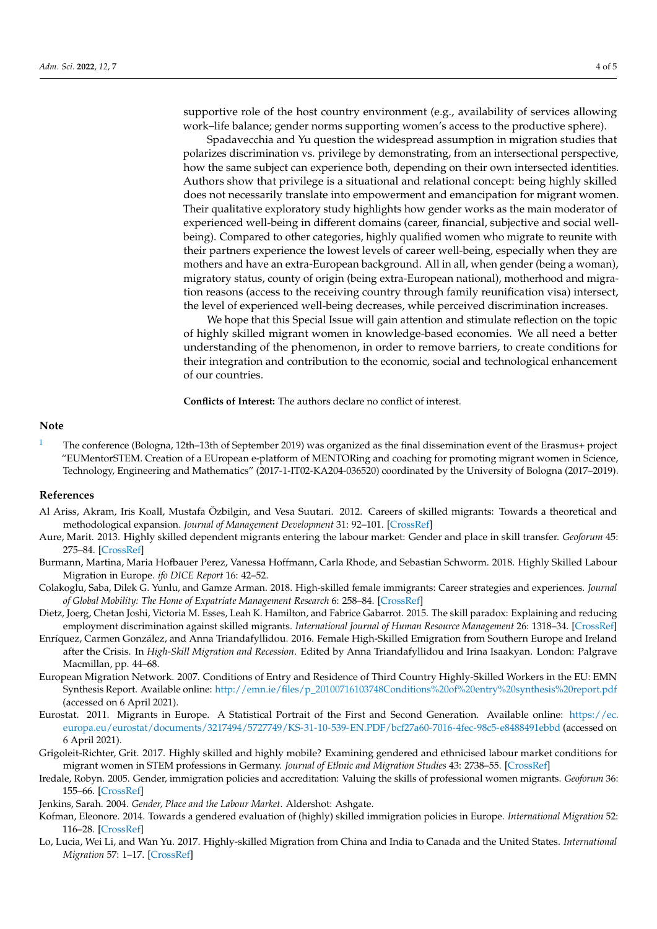supportive role of the host country environment (e.g., availability of services allowing work–life balance; gender norms supporting women's access to the productive sphere).

Spadavecchia and Yu question the widespread assumption in migration studies that polarizes discrimination vs. privilege by demonstrating, from an intersectional perspective, how the same subject can experience both, depending on their own intersected identities. Authors show that privilege is a situational and relational concept: being highly skilled does not necessarily translate into empowerment and emancipation for migrant women. Their qualitative exploratory study highlights how gender works as the main moderator of experienced well-being in different domains (career, financial, subjective and social wellbeing). Compared to other categories, highly qualified women who migrate to reunite with their partners experience the lowest levels of career well-being, especially when they are mothers and have an extra-European background. All in all, when gender (being a woman), migratory status, county of origin (being extra-European national), motherhood and migration reasons (access to the receiving country through family reunification visa) intersect, the level of experienced well-being decreases, while perceived discrimination increases.

We hope that this Special Issue will gain attention and stimulate reflection on the topic of highly skilled migrant women in knowledge-based economies. We all need a better understanding of the phenomenon, in order to remove barriers, to create conditions for their integration and contribution to the economic, social and technological enhancement of our countries.

**Conflicts of Interest:** The authors declare no conflict of interest.

## **Note**

<span id="page-3-13"></span>[1](#page-1-0) The conference (Bologna, 12th–13th of September 2019) was organized as the final dissemination event of the Erasmus+ project "EUMentorSTEM. Creation of a EUropean e-platform of MENTORing and coaching for promoting migrant women in Science, Technology, Engineering and Mathematics" (2017-1-IT02-KA204-036520) coordinated by the University of Bologna (2017–2019).

## **References**

- <span id="page-3-4"></span>Al Ariss, Akram, Iris Koall, Mustafa Özbilgin, and Vesa Suutari. 2012. Careers of skilled migrants: Towards a theoretical and methodological expansion. *Journal of Management Development* 31: 92–101. [\[CrossRef\]](http://doi.org/10.1108/02621711211199511)
- <span id="page-3-10"></span>Aure, Marit. 2013. Highly skilled dependent migrants entering the labour market: Gender and place in skill transfer. *Geoforum* 45: 275–84. [\[CrossRef\]](http://doi.org/10.1016/j.geoforum.2012.11.015)
- <span id="page-3-2"></span>Burmann, Martina, Maria Hofbauer Perez, Vanessa Hoffmann, Carla Rhode, and Sebastian Schworm. 2018. Highly Skilled Labour Migration in Europe. *ifo DICE Report* 16: 42–52.
- <span id="page-3-12"></span>Colakoglu, Saba, Dilek G. Yunlu, and Gamze Arman. 2018. High-skilled female immigrants: Career strategies and experiences. *Journal of Global Mobility: The Home of Expatriate Management Research* 6: 258–84. [\[CrossRef\]](http://doi.org/10.1108/JGM-10-2017-0039)
- <span id="page-3-5"></span>Dietz, Joerg, Chetan Joshi, Victoria M. Esses, Leah K. Hamilton, and Fabrice Gabarrot. 2015. The skill paradox: Explaining and reducing employment discrimination against skilled migrants. *International Journal of Human Resource Management* 26: 1318–34. [\[CrossRef\]](http://doi.org/10.1080/09585192.2014.990398)
- <span id="page-3-6"></span>Enríquez, Carmen González, and Anna Triandafyllidou. 2016. Female High-Skilled Emigration from Southern Europe and Ireland after the Crisis. In *High-Skill Migration and Recession*. Edited by Anna Triandafyllidou and Irina Isaakyan. London: Palgrave Macmillan, pp. 44–68.
- <span id="page-3-1"></span>European Migration Network. 2007. Conditions of Entry and Residence of Third Country Highly-Skilled Workers in the EU: EMN Synthesis Report. Available online: [http://emn.ie/files/p\\_20100716103748Conditions%20of%20entry%20synthesis%20report.pdf](http://emn.ie/files/p_20100716103748Conditions%20of%20entry%20synthesis%20report.pdf) (accessed on 6 April 2021).
- <span id="page-3-0"></span>Eurostat. 2011. Migrants in Europe. A Statistical Portrait of the First and Second Generation. Available online: [https://ec.](https://ec.europa.eu/eurostat/documents/3217494/5727749/KS-31-10-539-EN.PDF/bcf27a60-7016-4fec-98c5-e8488491ebbd) [europa.eu/eurostat/documents/3217494/5727749/KS-31-10-539-EN.PDF/bcf27a60-7016-4fec-98c5-e8488491ebbd](https://ec.europa.eu/eurostat/documents/3217494/5727749/KS-31-10-539-EN.PDF/bcf27a60-7016-4fec-98c5-e8488491ebbd) (accessed on 6 April 2021).
- <span id="page-3-9"></span>Grigoleit-Richter, Grit. 2017. Highly skilled and highly mobile? Examining gendered and ethnicised labour market conditions for migrant women in STEM professions in Germany. *Journal of Ethnic and Migration Studies* 43: 2738–55. [\[CrossRef\]](http://doi.org/10.1080/1369183X.2017.1314597)
- <span id="page-3-11"></span>Iredale, Robyn. 2005. Gender, immigration policies and accreditation: Valuing the skills of professional women migrants. *Geoforum* 36: 155–66. [\[CrossRef\]](http://doi.org/10.1016/j.geoforum.2004.04.002)
- <span id="page-3-8"></span>Jenkins, Sarah. 2004. *Gender, Place and the Labour Market*. Aldershot: Ashgate.
- <span id="page-3-7"></span>Kofman, Eleonore. 2014. Towards a gendered evaluation of (highly) skilled immigration policies in Europe. *International Migration* 52: 116–28. [\[CrossRef\]](http://doi.org/10.1111/imig.12121)
- <span id="page-3-3"></span>Lo, Lucia, Wei Li, and Wan Yu. 2017. Highly-skilled Migration from China and India to Canada and the United States. *International Migration* 57: 1–17. [\[CrossRef\]](http://doi.org/10.1111/imig.12388)